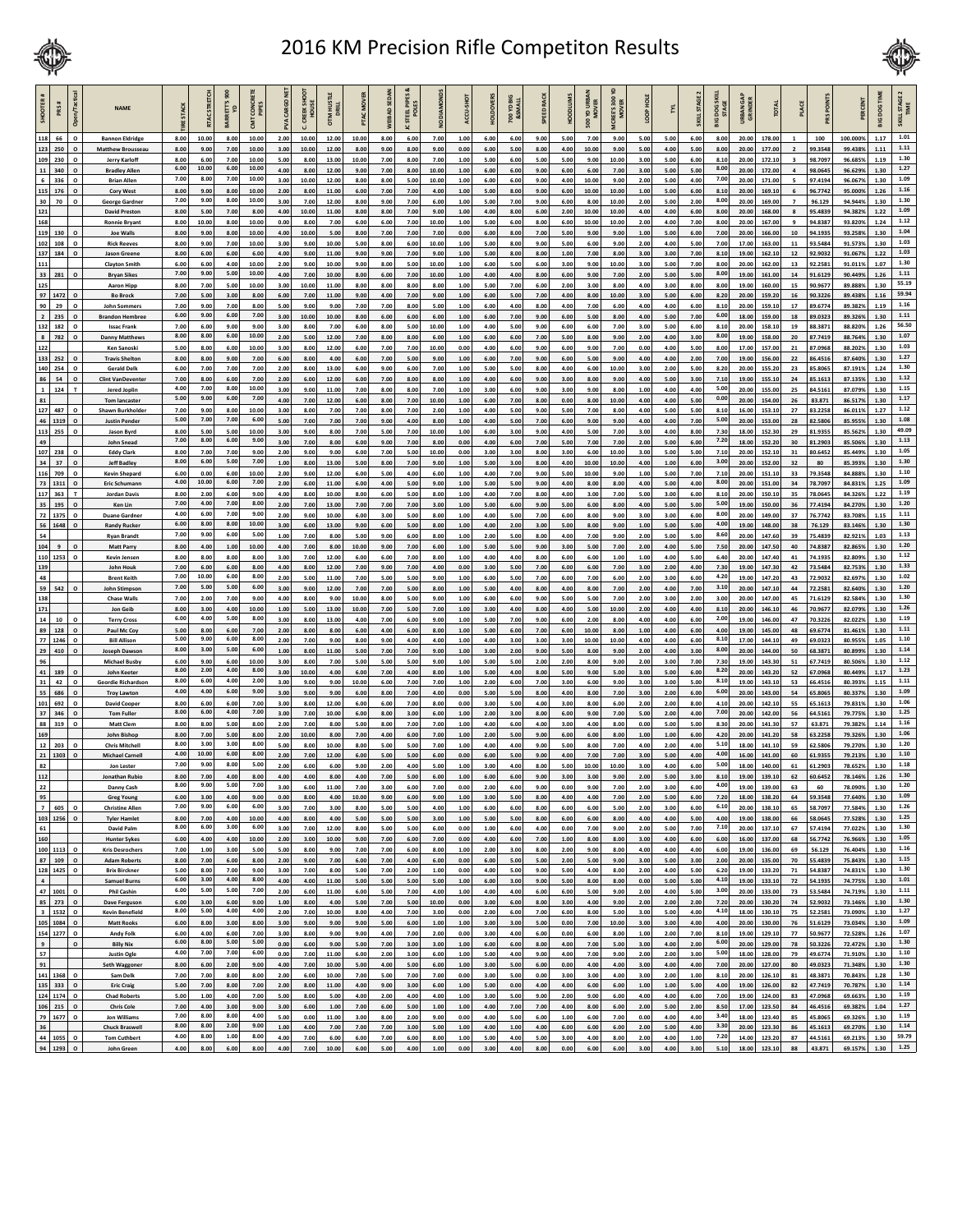

## 2016 KM Precision Rifle Competiton Results



| SHOOTER A<br>PRS#                            | n/Tact<br>$\epsilon$    | <b>NAME</b>                                        | <b>STACK</b> | <b>TACSTRETCH</b> | $\frac{8}{2}$<br>RETT'S | <b>TONCE</b>   | CARGO        | <b>CREEK SHOOT</b><br>HOUSE | OTM HUSTI<br>DRILL |               | <b>VEIBAD SEDAN</b> | PIPES<br>TEEL PIPI | <b>DIAMOND</b> | ACCU-SHO     | <b>HOLDOVERS</b> | <b>PO YD BIG</b> | SPEED RAC    | MUIQOOF      | <b>500 YD URBAN</b><br>MOVER | $\frac{8}{3}$<br>ICREE'S 300 | ë            | ٢X           | <b>KILLSTAGE</b> | DOG SKI<br>STAGE | URBAN GAI<br>GRINDER | <b>TOTAL</b>     |                                | <b>PRSPOINT</b>    | PERCENT             | <b>DOG TIM</b> | SKILLSTAGE 2<br>TIME |
|----------------------------------------------|-------------------------|----------------------------------------------------|--------------|-------------------|-------------------------|----------------|--------------|-----------------------------|--------------------|---------------|---------------------|--------------------|----------------|--------------|------------------|------------------|--------------|--------------|------------------------------|------------------------------|--------------|--------------|------------------|------------------|----------------------|------------------|--------------------------------|--------------------|---------------------|----------------|----------------------|
| 118<br>66<br>123<br>250                      | $\Omega$<br>$\circ$     | <b>Bannon Eldridge</b><br><b>Matthew Brousseau</b> | 8.00<br>8.00 | 10.00<br>9.00     | 8.00<br>7.00            | 10.00<br>10.00 | 2.00<br>3.00 | 10.00<br>10.00              | 12.00<br>12.00     | 10.00<br>8.00 | 8.00<br>9.00        | 6.00<br>8.00       | 7.00<br>9.00   | 1.00<br>0.00 | 6.00<br>6.00     | 6.00<br>5.00     | 9.00<br>8.00 | 5.00<br>4.00 | 7.00<br>10.00                | 9.00<br>9.00                 | 5.00<br>5.00 | 5.00<br>4.00 | 6.00<br>5.00     | 8.00<br>8.00     | 20.00<br>20.00       | 178.00<br>177.00 | $\mathbf{1}$<br>$\overline{2}$ | 100<br>99.3548     | 100.000%<br>99.438% | 1.17<br>1.11   | 1.01<br>$1.11\,$     |
| 109<br>230                                   | $\Omega$                | Jerry Karloff                                      | 8.00         | 6.00              | 7.00                    | 10.00          | 5.00         | 8.00                        | 13.00              | 10.00         | 7.00                | 8.00               | 7.00           | 1.00         | 5.00             | 6.00             | 5.00         | 5.00         | 9.00                         | 10.00                        | 3.00         | 5.00         | 6.00             | 8.10             | 20.00                | 172.10           | $\overline{\mathbf{3}}$        | 98.7097            | 96.685%             | 1.19           | 1.30                 |
| ${\bf 11}$<br>340<br>$\mathbf 6$<br>336      | $\circ$<br>$\Omega$     | <b>Bradley Allen</b><br><b>Brian Allen</b>         | 6.00<br>7.00 | 10.00<br>8.00     | 6.00<br>7.00            | 10.00<br>10.00 | 4.00<br>3.00 | 8.00<br>10.00               | 12.00<br>12.00     | 9.00<br>8.00  | 7.00<br>8.00        | 8.00<br>5.00       | 10.00<br>10.00 | 1.00<br>1.00 | 6.00<br>6.00     | 6.00<br>6.00     | 9.00<br>9.00 | 6.00<br>4.00 | 6.00<br>10.00                | 7.00<br>9.00                 | 3.00<br>2.00 | 5.00<br>5.00 | 5.00<br>4.00     | 8.00<br>7.00     | 20.00<br>20.00       | 172.00<br>171.00 | $\overline{a}$<br>5            | 98.0645<br>97.4194 | 96.629%<br>96.067%  | 1.30<br>1.30   | 1.27<br>1.09         |
| 115 176                                      | $\circ$                 | <b>Cory West</b>                                   | 8.00         | 9.00              | 8.00                    | 10.00          | 2.00         | 8.00                        | 11.00              | 6.00          | 7.00                | 7.00               | 4.00           | 1.00         | 5.00             | 8.00             | 9.00         | 6.00         | 10.00                        | 10.00                        | 1.00         | 5.00         | 6.00             | 8.10             | 20.00                | 169.10           | 6                              | 96.7742            | 95.000%             | 1.26           | 1.16                 |
| 30 70<br>121                                 | $\circ$                 | George Gardne<br><b>David Prestor</b>              | 7.00<br>8.00 | 9.00<br>5.00      | 8.00<br>7.00            | 10.00<br>8.00  | 3.00<br>4.00 | 7.00<br>10.00               | 12.00<br>11.00     | 8.00<br>8.00  | 9.00<br>8.00        | 7.00<br>7.00       | 6.00<br>9.00   | 1.00<br>1.00 | 5.00<br>4.00     | 7.00<br>8.00     | 9.00<br>6.00 | 6.00<br>2.00 | 8.00<br>10.00                | 10.00<br>10.00               | 2.00<br>4.00 | 5.00<br>4.00 | 2.00<br>6.00     | 8.00<br>8.00     | 20.00<br>20.00       | 169.00<br>168.00 | $\overline{7}$                 | 96.129<br>95.4839  | 94.944%<br>94.382%  | 1.30<br>1.22   | 1.30<br>1.09         |
| 168                                          |                         | <b>Ronnie Bryant</b>                               | 8.00         | 10.00             | 8.00                    | 10.00          | 0.00         | 8.00                        | 7.00               | 6.00          | 6.00                | 7.00               | 10.00          | 1.00         | 5.00             | 6.00             | 8.00         | 6.00         | 10.00                        | 10.00                        | 2.00         | 4.00         | 7.00             | 8.00             | 20.00                | 167.00           | $\mathbf{q}$                   | 94.8387            | 93.820%             | 1.24           | 1.12<br>1.04         |
| 119<br>130<br>102<br>108                     | $\circ$<br>$\Omega$     | <b>Joe Walls</b><br><b>Rick Reeves</b>             | 8.00<br>8.00 | 9.00<br>9.00      | 8.00<br>7.00            | 10.00<br>10.00 | 4.00<br>3.00 | 10.00<br>9.00               | 5.00<br>10.00      | 8.00<br>5.00  | 7.00<br>8.00        | 7.00<br>6.00       | 7.00<br>10.00  | 0.00<br>1.00 | 6.00<br>5.00     | 8.00<br>8.00     | 7.00<br>9.00 | 5.00<br>5.00 | 9.00<br>6.00                 | 9.00<br>9.00                 | 1.00<br>2.00 | 5.00<br>4.00 | 6.00<br>5.00     | 7.00<br>7.00     | 20.00<br>17.00       | 166.00<br>163.00 | ${\bf 10}$<br>11               | 94.1935<br>93.5484 | 93.258%<br>91.573%  | 1.30<br>1.30   | 1.03                 |
| 137<br>184<br>111                            | $\circ$                 | <b>Jason Greene</b>                                | 8.00<br>6.00 | 6.00<br>6.00      | 6.00<br>4.00            | 6.00<br>10.00  | 4.00<br>2.00 | 9.00<br>9.00                | 11.00<br>10.00     | 9.00<br>9.00  | 9.00<br>8.00        | 7.00<br>5.00       | 9.00<br>10.00  | 1.00         | 5.00             | 8.00<br>5.00     | 8.00<br>6.00 | 1.00         | 7.00<br>9.00                 | 8.00<br>10.00                | 3.00<br>3.00 | 3.00         | 7.00             | 8.10<br>8.00     | 19.00                | 162.10           | ${\bf 12}$<br>13               | 92.9032<br>92.2581 | 91.067%<br>91.011%  | 1.22<br>1.07   | 1.03<br>1.30         |
| 33 281                                       | $\circ$                 | <b>Clayton Smith</b><br><b>Bryan Sikes</b>         | 7.00         | 9.00              | 5.00                    | 10.00          | 4.00         | 7.00                        | 10.00              | 8.00          | 6.00                | 7.00               | 10.00          | 1.00<br>1.00 | 6.00<br>4.00     | 4.00             | 8.00         | 3.00<br>6.00 | 9.00                         | 7.00                         | 2.00         | 5.00<br>5.00 | 7.00<br>5.00     | 8.00             | 20.00<br>19.00       | 162.00<br>161.00 | ${\bf 14}$                     | 91.6129            | 90.449%             | 1.26           | 1.11                 |
| 125<br>97<br>1472                            | $\circ$                 | <b>Aaron Hipp</b><br><b>Bo Brock</b>               | 8.00<br>7.00 | 7.00<br>5.00      | 5.00<br>3.00            | 10.00<br>8.00  | 3.00<br>6.00 | 10.00<br>7.00               | 11.00<br>11.00     | 8.00<br>9.00  | 8.00<br>4.00        | 8.00<br>7.00       | 8.00<br>9.00   | 1.00<br>1.00 | 5.00<br>6.00     | 7.00<br>5.00     | 6.00<br>7.00 | 2.00<br>4.00 | 3.00<br>8.00                 | 8.00<br>10.00                | 4.00<br>3.00 | 3.00<br>5.00 | 8.00<br>6.00     | 8.00<br>8.20     | 19.00<br>20.00       | 160.00<br>159.20 | 15<br>16                       | 90.967<br>90.3226  | 89.888%<br>89.438%  | 1.30<br>1.16   | 55.19<br>59.94       |
| 90<br>29                                     | $\Omega$                | <b>John Sommers</b>                                | 7.00         | 9.00              | 7.00                    | 8.00           | 5.00         | 9.00                        | 9.00               | 7.00          | 7.00                | 8.00               | 5.00           | 1.00         | 6.00             | 4.00             | 8.00         | 4.00         | 7.00                         | 6.00                         | 4.00         | 4.00         | 6.00             | 8.10             | 20.00                | 159.10           | 17                             | 89.6774            | 89.382%             | 1.19           | 1.16                 |
| $\overline{\mathbf{2}}$<br>235<br>132<br>182 | $\mathbf{o}$<br>$\circ$ | <b>Brandon Hembree</b><br><b>Issac Frank</b>       | 6.00<br>7.00 | 9.00<br>6.00      | 6.00<br>9.00            | 7.00<br>9.00   | 3.00<br>3.00 | 10.00<br>8.00               | 10.00<br>7.00      | 8.00<br>6.00  | 6.00<br>8.00        | 6.00<br>5.00       | 6.00<br>10.00  | 1.00<br>1.00 | 6.00<br>4.00     | 7.00<br>5.00     | 9.00<br>9.00 | 6.00<br>6.00 | 5.00<br>6.00                 | 8.00<br>7.00                 | 4.00<br>3.00 | 5.00<br>5.00 | 7.00<br>6.00     | 6.00<br>8.10     | 18.00<br>20.00       | 159.00<br>158.10 | 18<br>19                       | 89.0323<br>88.387  | 89.326%<br>88.820%  | 1.30<br>1.26   | 1.11<br>56.50        |
| $\bf 8$<br>782                               | $\circ$                 | <b>Danny Matthews</b>                              | 8.00         | 8.00              | 6.00                    | 10.00          | 2.00         | 5.00                        | 12.00              | 7.00          | 8.00                | 8.00               | 6.00           | 1.00         | 6.00             | 6.00             | 7.00         | 5.00         | 8.00                         | 9.00                         | 2.00         | 4.00         | 3.00             | 8.00             | 19.00                | 158.00           | 20                             | 87.7419            | 88.764%             | 1.30           | 1.07                 |
| 122<br>133<br>252                            | $\Omega$                | <b>Ken Sanoski</b><br><b>Travis Shelton</b>        | 5.00<br>8.00 | 8.00<br>8.00      | 6.00<br>9.00            | 10.00<br>7.00  | 3.00<br>6.00 | 8.00<br>8.00                | 12.00<br>4.00      | 6.00<br>6.00  | 7.00<br>7.00        | 7.00<br>5.00       | 10.00<br>9.00  | 0.00<br>1.00 | 4.00<br>6.00     | 6.00<br>7.00     | 9.00<br>9.00 | 6.00<br>6.00 | 9.00<br>5.00                 | 7.00<br>9.00                 | 0.00<br>4.00 | 4.00<br>4.00 | 5.00<br>2.00     | 8.00<br>7.00     | 17.00<br>19.00       | 157.00<br>156.00 | 21<br>22                       | 87.0968<br>86.4516 | 88.202%<br>87.640%  | 1.30<br>1.30   | 1.03<br>1.27         |
| 140 254                                      | $\circ$                 | <b>Gerald Delk</b>                                 | 6.00         | 7.00              | 7.00                    | 7.00           | 2.00         | 8.00                        | 13.00              | 6.00          | 9.00                | 6.00               | 7.00           | 1.00         | 5.00             | 5.00             | 8.00         | 4.00         | 6.00                         | 10.00                        | 3.00         | 2.00         | 5.00             | 8.20             | 20.00                | 155.20           | 23                             | 85.8065            | 87.191%             | 1.24           | 1.30                 |
| 86<br>54<br>$\mathbf 1$<br>124               | $\Omega$                | <b>Clint VanDevente</b><br>Jered Joplin            | 7.00<br>4.00 | 8.00<br>7.00      | 6.00<br>8.00            | 7.00<br>10.00  | 2.00<br>3.00 | 6.00<br>9.00                | 12.00<br>11.00     | 6.00<br>7.00  | 7.00<br>8.00        | 8.00<br>8.00       | 8.00<br>7.00   | 1.00<br>1.00 | 4.00<br>3.00     | 6.00<br>6.00     | 9.00<br>9.00 | 3.00<br>3.00 | 8.00<br>9.00                 | 9.00<br>8.00                 | 4.00<br>1.00 | 5.00<br>4.00 | 3.00<br>4.00     | 7.10<br>5.00     | 19.00<br>20.00       | 155.10<br>155.00 | 24<br>25                       | 85.1613<br>84.5161 | 87.135%<br>87.079%  | 1.30<br>1.30   | 1.12<br>1.15         |
| 81                                           |                         | <b>Tom lancaster</b>                               | 5.00         | 9.00              | 6.00                    | 7.00           | 4.00         | 7.00                        | 12.00              | 6.00          | 8.00                | 7.00               | 10.00          | 1.00         | 6.00             | 7.00             | 8.00         | 0.00         | 8.00                         | 10.00                        | 4.00         | 4.00         | 5.00             | 0.00             | 20.00                | 154.00           | 26                             | 83.871             | 86.517%             | 1.30           | 1.17                 |
| 127 487<br>46 1319                           | $\Omega$                | Shawn Burkholder<br><b>Justin Pende</b>            | 7.00<br>5.00 | 9.00<br>7.00      | 8.00<br>7.00            | 10.00<br>6.00  | 3.00<br>5.00 | 8.00<br>7.00                | 7.00<br>7.00       | 7.00<br>7.00  | 8.00<br>9.00        | 7.00<br>4.00       | 2.00<br>8.00   | 1.00<br>1.00 | 4.00<br>4.00     | 5.00<br>5.00     | 9.00<br>7.00 | 5.00<br>6.00 | 7.00<br>9.00                 | 8.00<br>9.00                 | 4.00<br>4.00 | 5.00<br>4.00 | 5.00<br>7.00     | 8.10<br>5.00     | 16.00<br>20.00       | 153.10<br>153.00 | 27<br>28                       | 83.2258<br>82.5806 | 86.011%<br>85.955%  | 1.27<br>1.30   | 1.12<br>1.08         |
| 113<br>255                                   |                         | Jason Byrd                                         | 8.00         | 5.00              | 5.00                    | 10.00          | 3.00         | 9.00                        | 8.00               | 7.00          | 5.00                | 7.00               | 10.00          | 1.00         | 6.00             | 3.00             | 9.00         | 4.00         | 5.00                         | 7.00                         | 3.00         | 4.00         | 8.00             | 7.30             | 18.00                | 152.30           | 29                             | 81.9355            | 85.562%             | 1.30           | 49.09                |
| 49<br>107 238                                |                         | <b>John Snead</b><br><b>Eddy Clark</b>             | 7.00<br>8.00 | 8.00<br>7.00      | 6.00<br>7.00            | 9.00<br>9.00   | 3.00<br>2.00 | 7.00<br>9.00                | 8.00<br>9.00       | 6.00<br>6.00  | 9.00<br>7.00        | 7.00<br>5.00       | 8.00<br>10.00  | 0.00<br>0.00 | 4.00<br>3.00     | 6.00<br>3.00     | 7.00<br>8.00 | 5.00<br>3.00 | 7.00<br>6.00                 | 7.00<br>10.00                | 2.00<br>3.00 | 5.00<br>5.00 | 6.00<br>5.00     | 7.20<br>7.10     | 18.00<br>20.00       | 152.20<br>152.10 | 30<br>31                       | 81.2903<br>80.6452 | 85.506%<br>85.449%  | 1.30<br>1.30   | 1.13<br>1.05         |
| 34<br>37                                     | $\Omega$                | <b>Jeff Badle</b>                                  | 8.00         | 6.00              | 5.00                    | 7.00           | 1.00         | 8.00                        | 13.00              | 5.00          | 8.00                | 7.00               | 9.00           | 1.00         | 5.00             | 3.00             | 8.00         | 4.00         | 10.00                        | 10.00                        | 4.00         | 1.00         | 6.00             | 3.00             | 20.00                | 152.00           | 32                             | 80                 | 85.393%             | 1.30           | 1.30                 |
| 116<br>709<br>73 1311                        | $\mathbf{o}$<br>$\circ$ | Kevin Shepard<br><b>Eric Schumanr</b>              | 6.00<br>4.00 | 0.00<br>10.0      | 6.00<br>6.00            | 10.00<br>7.00  | 2.00<br>2.00 | 9.00<br>6.00                | 12.00<br>11.00     | 6.00<br>6.00  | 5.00<br>4.00        | 4.00<br>5.00       | 6.00<br>9.00   | 1.00<br>1.00 | 4.00<br>5.00     | 7.00<br>5.00     | 9.00<br>9.00 | 5.00<br>4.00 | 10.00<br>8.00                | 9.00<br>8.00                 | 1.00<br>4.00 | 5.00<br>5.00 | 7.00<br>4.00     | 7.10<br>8.00     | 20.00<br>20.00       | 151.10<br>151.00 | 33<br>34                       | 79.3548<br>78.7097 | 84.888%<br>84.831%  | 1.30<br>1.25   | 1.10<br>1.09         |
| 117<br>363                                   |                         | <b>Jordan Davis</b>                                | 8.00<br>7.00 | 2.00<br>4.00      | 6.00<br>7.00            | 9.00<br>8.00   | 4.00         | 8.00                        | 10.00              | 8.00          | 6.00                | 5.00               | 8.00           | 1.00         | 4.00             | 7.00             | 8.00         | 4.00         | 3.00                         | 7.00                         | 5.00         | 3.00         | 6.00             | 8.10<br>5.00     | 20.00                | 150.10           | 35                             | 78.0645            | 84.326%             | 1.22           | 1.19<br>1.20         |
| 35<br>195<br>72<br>1375                      | $\Omega$<br>$\circ$     | Ken Lin<br><b>Duane Gardner</b>                    | 4.00         | 6.00              | 7.00                    | 9.00           | 2.00<br>2.00 | 7.00<br>9.00                | 13.00<br>10.00     | 7.00<br>6.00  | 7.00<br>3.00        | 7.00<br>5.00       | 3.00<br>8.00   | 1.00<br>1.00 | 5.00<br>4.00     | 6.00<br>5.00     | 9.00<br>7.00 | 5.00<br>6.00 | 6.00<br>8.00                 | 8.00<br>9.00                 | 4.00<br>3.00 | 5.00<br>3.00 | 5.00<br>6.00     | 8.00             | 19.00<br>20.00       | 150.00<br>149.00 | 36<br>37                       | 77.4194<br>76.7742 | 84.270%<br>83.708%  | 1.30<br>1.15   | 1.11                 |
| 56<br>1648                                   | $\circ$                 | <b>Randy Rucker</b>                                | 6.00<br>7.00 | 8.00<br>9.00      | 8.00<br>6.00            | 10.00<br>5.00  | 3.00         | 6.00                        | 13.00              | 9.00          | 6.00                | 5.00               | 8.00           | 1.00         | 4.00             | 2.00             | 3.00         | 5.00         | 8.00                         | 9.00                         | 1.00         | 5.00         | 5.00             | 4.00<br>8.60     | 19.00                | 148.00           | 38                             | 76.129             | 83.146%             | 1.30           | $1.30\,$<br>1.13     |
| 54<br>104<br>$\overline{9}$                  | $\Omega$                | <b>Ryan Brandt</b><br>Matt Parry                   | 8.00         | 4.00              | 1.00                    | 10.00          | 1.00<br>4.00 | 7.00<br>7.00                | 8.00<br>8.00       | 5.00<br>10.00 | 9.00<br>9.00        | 6.00<br>7.00       | 8.00<br>6.00   | 1.00<br>1.00 | 2.00<br>5.00     | 5.00<br>5.00     | 8.00<br>9.00 | 4.00<br>3.00 | 7.00<br>5.00                 | 9.00<br>7.00                 | 2.00<br>2.00 | 5.00<br>4.00 | 5.00<br>5.00     | 7.50             | 20.00<br>20.00       | 147.60<br>147.50 | 39<br>40                       | 75.4839<br>74.8387 | 82.921%<br>82.865%  | 1.03<br>1.30   | $1.20\,$             |
| 1253<br>110<br>139                           | $\circ$                 | <b>Kevin Jensen</b>                                | 8.00<br>7.00 | 8.00<br>6.00      | 8.00<br>6.00            | 8.00<br>8.00   | 3.00<br>4.00 | 7.00<br>8.00                | 12.00<br>12.00     | 6.00<br>7.00  | 6.00<br>9.00        | 7.00<br>7.00       | 8.00<br>4.00   | 1.00<br>0.00 | 4.00<br>3.00     | 4.00<br>5.00     | 8.00<br>7.00 | 6.00         | 6.00<br>6.00                 | 1.00<br>7.00                 | 1.00<br>3.00 | 4.00         | 5.00             | 6.40<br>7.30     | 20.00<br>19.00       | 147.40           | 41<br>42                       | 74.193<br>73.5484  | 82.809%<br>82.753%  | 1.30<br>1.30   | 1.12<br>1.33         |
| 48                                           |                         | John Houk<br><b>Brent Keith</b>                    | 7.00         | 10.00             | 6.00                    | 8.00           | 2.00         | 5.00                        | 11.00              | 7.00          | 5.00                | 5.00               | 9.00           | 1.00         | 6.00             | 5.00             | 7.00         | 6.00<br>6.00 | 7.00                         | 6.00                         | 2.00         | 2.00<br>3.00 | 4.00<br>6.00     | 4.20             | 19.00                | 147.30<br>147.20 | 43                             | 72.9032            | 82.697%             | 1.30           | 1.02                 |
| 59<br>542<br>138                             |                         | John Stimpsor<br><b>Chase Walls</b>                | 7.00<br>7.00 | 5.00<br>2.00      | 5.00<br>7.00            | 6.00<br>9.00   | 3.00<br>4.00 | 9.00<br>8.00                | 12.00<br>9.00      | 7.00<br>10.00 | 7.00<br>8.00        | 5.00<br>5.00       | 8.00<br>9.00   | 1.00<br>1.00 | 5.00<br>6.00     | 4.00<br>6.00     | 8.00<br>9.00 | 4.00<br>5.00 | 8.00<br>5.00                 | 7.00<br>7.00                 | 2.00<br>2.00 | 4.00<br>3.00 | 7.00<br>2.00     | 3.10<br>3.00     | 20.00<br>20.00       | 147.10<br>147.00 | 44<br>45                       | 72.2583<br>71.6129 | 82.640%<br>82.584%  | 1.30<br>1.30   | 1.20<br>1.30         |
| 171                                          |                         | Jon Geib                                           | 8.00         | 3.00              | 4.00                    | 10.00          | 1.00         | 5.00                        | 13.00              | 10.00         | 7.00                | 5.00               | 7.00           | 1.00         | 3.00             | 4.00             | 8.00         | 4.00         | 5.00                         | 10.00                        | 2.00         | 4.00         | 4.00             | 8.10             | 20.00                | 146.10           | 46                             | 70.9677            | 82.079%             | 1.30           | $1.26\,$             |
| $\bf{14}$<br>${\bf 10}$<br>89<br>128         | $\circ$                 | <b>Terry Cross</b><br>Paul Mc Coy                  | 6.00<br>5.00 | 4.00<br>8.00      | 5.00<br>6.00            | 8.00<br>7.00   | 3.00<br>2.00 | 8.00<br>8.00                | 13.00<br>8.00      | 4.00<br>6.00  | 7.00<br>4.00        | 6.00<br>6.00       | 9.00<br>8.00   | 1.00<br>1.00 | 5.00<br>5.00     | 7.00<br>6.00     | 9.00<br>7.00 | 6.00<br>6.00 | 2.00<br>10.00                | 8.00<br>8.00                 | 4.00<br>1.00 | 4.00<br>4.00 | 6.00<br>6.00     | 2.00<br>4.00     | 19.00<br>19.00       | 146.00<br>145.00 | 47<br>48                       | 70.3226<br>69.6774 | 82.022%<br>81.461%  | 1.30<br>1.30   | 1.19<br>1.11         |
| 77<br>1246                                   | $\Omega$                | <b>Bill Allison</b>                                | 5.00         | 9.00              | 6.00                    | 8.00           | 2.00         | 7.00                        | 9.00               | 8.00          | 9.00                | 4.00               | 4.00           | 1.00         | 4.00             | 3.00             | 3.00         | 3.00         | 10.00                        | 10.00                        | 4.00         | 4.00         | 6.00             | 8.10             | 17.00                | 144.10           | 49                             | 69.0323            | 80.955%             | 1.05           | 1.10                 |
| 29<br>410<br>96                              |                         | Joseph Dawsor<br><b>Michael Busby</b>              | 8.00<br>6.00 | 3.00<br>9.00      | 5.00<br>6.00            | 6.00<br>10.00  | 1.00<br>3.00 | 8.00<br>8.00                | 11.00<br>7.00      | 5.00<br>5.00  | 7.00<br>5.00        | 7.00<br>5.00       | 9.00<br>9.00   | 1.00<br>1.00 | 3.00<br>5.00     | 2.00<br>5.00     | 9.00<br>2.00 | 5.00<br>2.00 | 8.00<br>8.00                 | 9.00<br>9.00                 | 2.00<br>2.00 | 4.00<br>3.00 | 3.00<br>7.00     | 8.00<br>7.30     | 20.00<br>19.00       | 144.00<br>143.30 | 50<br>51                       | 68.3871<br>67.7419 | 80.899%<br>80.506%  | 1.30<br>1.30   | 1.14<br>1.12         |
| 41<br>189                                    | $\circ$                 | <b>John Keeter</b>                                 | 8.00         | 2.00              | 4.00                    | 8.00           | 3.00         | 10.00                       | 4.00               | 6.00          | 7.00                | 4.00               | 8.00           | 1.00         | 5.00             | 4.00             | 8.00         | 5.00         | 9.00                         | 5.00                         | 3.00         | 5.00         | 6.00             | 8.20             | 20.00                | 143.20           | 52                             | 67.0968            | 80.449%             | 1.17           | 1.23                 |
| 31<br>42<br>55<br>686                        | $\Omega$                | Geordie Richardson<br><b>Troy Lawtor</b>           | 8.00<br>4.00 | 6.00<br>4.00      | 4.00<br>6.00            | 2.00<br>9.00   | 3.00<br>3.00 | 9.00<br>9.00                | 9.00<br>9.00       | 10.00<br>6.00 | 6.00<br>8.00        | 7.00<br>7.00       | 7.00<br>4.00   | 1.00<br>0.00 | 2.00<br>5.00     | 6.00<br>5.00     | 7.00<br>8.00 | 3.00<br>4.00 | 6.00<br>8.00                 | 9.00<br>7.00                 | 3.00<br>3.00 | 3.00<br>2.00 | 5.00<br>6.00     | 8.10<br>6.00     | 19.00<br>20.00       | 143.10<br>143.00 | 53<br>54                       | 66.4516<br>65.8065 | 80.393%<br>80.337%  | 1.15<br>1.30   | 1.11<br>1.09         |
| 692<br>101                                   | $\Omega$                | <b>David Cooper</b>                                | 8.00<br>8.00 | 6.00              | 6.00<br>4.00            | 7.00           | 3.00         | 8.00                        | 12.00              | 6.00          | 6.00                | 7.00               | 8.00           | 0.00         | 3.00             | 5.00             | 4.00         | 3.00         | 8.00                         | 6.00                         | 2.00         | 2.00         | 8.00             | 4.10             | 20.00                | 142.10           | 55                             | 65.1613            | 79.831%             | 1.30           | 1.06                 |
| 37 346<br>88<br>319                          | $\circ$<br>$\Omega$     | <b>Tom Fuller</b><br><b>Matt Clen</b>              | 8.00         | 6.00<br>8.00      | 5.00                    | 7.00<br>8.00   | 3.00<br>2.00 | 7.00<br>7.00                | 10.00<br>8.00      | 6.00<br>5.00  | 8.00<br>8.00        | 3.00<br>7.00       | 6.00<br>7.00   | 1.00<br>1.00 | 2.00<br>4.00     | 3.00<br>6.00     | 8.00<br>4.00 | 6.00<br>3.00 | 9.00<br>4.00                 | 7.00<br>8.00                 | 5.00<br>0.00 | 2.00<br>5.00 | 4.00<br>5.00     | 7.00<br>8.30     | 20.00<br>20.00       | 142.00<br>141.30 | 56<br>57                       | 64.5161<br>63.871  | 79.775%<br>79.382%  | 1.30<br>1.14   | 1.25<br>1.16         |
| 169                                          |                         | John Bishop                                        | 8.00<br>8.00 | 7.00<br>3.00      | 5.00<br>3.00            | 8.00<br>8.00   | 2.00         | 10.00                       | 8.00               | 7.00          | 4.00                | 6.00               | 7.00           | 1.00         | 2.00             | 5.00             | 9.00         | 6.00         | 6.00                         | 8.00                         | 1.00         | 1.00         | 6.00             | 4.20<br>5.10     | 20.00                | 141.20           | 58                             | 63.2258            | 79.326%             | 1.30           | 1.06<br>1.20         |
| 12<br>203<br>21 1303                         | $\circ$<br>$\mathsf{o}$ | <b>Chris Mitchell</b><br><b>Michael Carnel</b>     | 4.00         | 10.00             | 6.00                    | 8.00           | 5.00<br>2.00 | 8.00<br>7.00                | 10.00<br>12.00     | 8.00<br>6.00  | 5.00<br>5.00        | 5.00<br>5.00       | 7.00<br>6.00   | 1.00<br>0.00 | 4.00<br>6.00     | 4.00<br>5.00     | 9.00<br>9.00 | 5.00<br>4.00 | 8.00<br>7.00                 | 7.00<br>7.00                 | 4.00<br>3.00 | 2.00<br>5.00 | 4.00<br>4.00     | 4.00             | 18.00<br>16.00       | 141.10<br>141.00 | 59<br>60                       | 62.5806<br>61.9355 | 79.270%<br>79.213%  | 1.30<br>1.30   | 1.10                 |
| 82                                           |                         | Jon Lester<br>Jonathan Rubio                       | 7.00         | 9.00              | 8.00                    | 5.00           | 2.00         | 6.00                        | 6.00               | 9.00          | 2.00                | 4.00               | 5.00           | 1.00         | 3.00             | 4.00             | 8.00         | 5.00         | 10.00                        | 10.00                        | 3.00         | 4.00         | 6.00             | 5.00             | 18.00                | 140.00           | 61                             | 61.290             | 78.652%             | 1.30           | 1.18<br>1.30         |
| 112<br>22                                    |                         | Danny Cash                                         | 8.00<br>8.00 | 7.00              | 4.00<br>5.00            | 8.00           | 4.00<br>3.00 | 4.00<br>6.00                | 8.00<br>11.00      | 4.00<br>7.00  | 7.00<br>3.00        | 5.00<br>6.00       | 6.00<br>7.00   | 1.00<br>0.00 | 6.00<br>2.00     | 6.00<br>6.00     | 9.00<br>9.00 | 3.00<br>0.00 | 3.00<br>9.00                 | 9.00<br>7.00                 | 2.00<br>2.00 | 5.00<br>3.00 | 3.00<br>6.00     | 8.10<br>4.00     | 19.00<br>19.00       | 139.10<br>139.00 | 62<br>-63                      | 60.6452<br>-60     | 78.146%<br>78.090%  | 1.26           | 1.20                 |
| 95<br>$\overline{z}$<br>605                  | $\circ$                 | <b>Greg Young</b>                                  | 6.00<br>7.00 | 3.00<br>9.00      | 4.00<br>6.00            | 9.00<br>6.00   | 0.00<br>3.00 | 8.00<br>7.00                | 4.00<br>3.00       | 10.00         | 9.00<br>5.00        | 6.00<br>5.00       | 9.00<br>4.00   | $1.00\,$     | 3.00             | 5.00<br>6.00     | 8.00<br>8.00 | 4.00<br>6.00 | 4.00<br>6.00                 | 7.00                         | 2.00         | 5.00         | 6.00<br>6.00     | 7.20<br>6.10     | 18.00<br>20.00       | 138.20<br>138.10 | 64<br>65                       | 59.3548<br>58.7097 | 77.640%<br>77.584%  | 1.30<br>1.30   | 1.09<br>1.26         |
| 103 1256                                     | $\mathsf{o}$            | <b>Christine Allen</b><br><b>Tyler Hamlet</b>      | 8.00         | 7.00              | 4.00                    | 10.00          | 4.00         | 8.00                        | 4.00               | 8.00<br>5.00  | 5.00                | 5.00               | 3.00           | 1.00<br>1.00 | 6.00<br>5.00     | 5.00             | 8.00         | 6.00         | 6.00                         | 5.00<br>8.00                 | 2.00<br>4.00 | 3.00<br>4.00 | 5.00             | 4.00             | 19.00                | 138.00           | 66                             | 58.0645            | 77.528%             | 1.30           | 1.25                 |
| 61<br>160                                    |                         | <b>David Palm</b><br><b>Hunter Sykes</b>           | 8.00<br>6.00 | 6.00<br>4.00      | 3.00<br>4.00            | 6.00<br>10.00  | 3.00<br>2.00 | 7.00<br>3.00                | 12.00<br>10.00     | 8.00<br>9.00  | 5.00<br>7.00        | 5.00<br>6.00       | 6.00<br>7.00   | 0.00<br>0.00 | 1.00<br>4.00     | 6.00<br>6.00     | 4.00<br>7.00 | 0.00<br>1.00 | 7.00<br>8.00                 | 9.00<br>8.00                 | 2.00<br>3.00 | 5.00<br>4.00 | 7.00<br>6.00     | 7.10<br>6.00     | 20.00<br>16.00       | 137.10<br>137.00 | 67<br>68                       | 57.4194<br>56.7742 | 77.022%<br>76.966%  | 1.30<br>1.30   | 1.30<br>1.05         |
| 100 1113                                     | $\circ$                 | <b>Kris Desrochers</b>                             | 7.00         | 1.00              | 3.00                    | 5.00           | 5.00         | 8.00                        | 9.00               | 7.00          | 7.00                | 6.00               | 8.00           | 1.00         | 2.00             | 3.00             | 8.00         | 2.00         | 9.00                         | 8.00                         | 4.00         | 4.00         | 4.00             | 6.00             | 19.00                | 136.00           | 69                             | 56.129             | 76.404%             | 1.30           | 1.16                 |
| 87<br>109<br>128 1425 0                      | $\mathsf{o}$            | <b>Adam Roberts</b><br><b>Brix Birckner</b>        | 8.00<br>5.00 | 7.00<br>8.00      | 6.00<br>7.00            | 8.00<br>9.00   | 2.00<br>3.00 | 9.00<br>7.00                | 7.00<br>8.00       | 6.00<br>5.00  | 7.00<br>7.00        | 4.00<br>2.00       | 6.00<br>1.00   | 0.00<br>0.00 | 6.00<br>4.00     | 5.00<br>5.00     | 5.00<br>9.00 | 2.00<br>5.00 | 5.00<br>4.00                 | 9.00<br>8.00                 | 3.00<br>2.00 | 5.00<br>4.00 | 3.00<br>5.00     | 2.00<br>6.20     | 20.00<br>19.00       | 135.00<br>133.20 | 70<br>71                       | 55.4839<br>54.8387 | 75.843%<br>74.831%  | 1.30<br>1.30   | 1.15<br>1.30         |
| $\,$ 4 $\,$                                  |                         | <b>Samuel Burns</b>                                | 6.00         | 3.00              | 4.00                    | 8.00           | 4.00         | 4.00                        | 11.00              | 5.00          | 5.00                | 5.00               | 5.00           | 1.00         | 6.00             | 3.00             | 9.00         | 5.00         | 8.00                         | 8.00                         | 0.00         | 5.00         | 5.00             | 4.10             | 19.00                | 133.10           | 72                             | 54.1935            | 74.775%             | 1.30           | 1.01                 |
| 47 1001<br>85 273                            | $\circ$<br>$\circ$      | <b>Phil Cashin</b><br>Dave Ferguson                | 6.00<br>6.00 | 5.00<br>3.00      | 5.00<br>6.00            | 7.00<br>9.00   | 2.00<br>1.00 | 6.00<br>8.00                | 11.00<br>4.00      | 6.00<br>5.00  | 5.00<br>7.00        | 7.00<br>5.00       | 4.00<br>10.00  | 1.00<br>0.00 | 4.00<br>3.00     | 4.00<br>6.00     | 6.00<br>8.00 | 6.00<br>3.00 | 5.00<br>4.00                 | 9.00<br>9.00                 | 2.00<br>2.00 | 4.00<br>2.00 | 5.00<br>2.00     | 3.00<br>7.20     | 20.00<br>20.00       | 133.00<br>130.20 | 73<br>74                       | 53.5484<br>52.9032 | 74.719%<br>73.146%  | 1.30<br>1.30   | $\bf 1.11$<br>1.30   |
| 3 1532                                       | $\circ$                 | <b>Kevin Benefield</b>                             | 8.00         | 5.00              | 4.00                    | 4.00           | 2.00         | 7.00                        | 10.00              | 8.00          | 4.00                | 7.00               | 3.00           | 0.00         | 2.00             | 6.00             | 7.00         | 6.00         | 8.00                         | 5.00                         | 3.00         | 5.00         | 4.00             | 4.10             | 18.00                | 130.10           | 75                             | 52.2581            | 73.090%             | 1.30           | 1.27                 |
| 105 1084 0<br>154 1277 0                     |                         | <b>Matt Rooks</b><br><b>Andy Folk</b>              | 6.00<br>6.00 | 8.00<br>4.00      | 3.00<br>6.00            | 8.00<br>7.00   | 3.00<br>3.00 | 9.00<br>8.00                | 9.00<br>9.00       | 9.00<br>9.00  | 5.00<br>4.00        | 6.00<br>7.00       | 1.00<br>2.00   | 1.00<br>0.00 | 3.00<br>3.00     | 3.00<br>4.00     | 5.00<br>6.00 | 0.00<br>0.00 | 7.00<br>6.00                 | 10.00<br>8.00                | 3.00<br>1.00 | 3.00<br>2.00 | 4.00<br>7.00     | 4.00<br>8.10     | 20.00<br>19.00       | 130.00<br>129.10 | 76<br>77                       | 51.6129<br>50.9677 | 73.034%<br>72.528%  | 1.30<br>1.26   | 1.09<br>1.07         |
| 9                                            | $\circ$                 | <b>Billy Nix</b>                                   | 6.00         | 8.00              | 5.00                    | 5.00           | 0.00         | 6.00                        | 9.00               | 5.00          | 7.00                | 3.00               | 3.00           | 1.00         | 6.00             | 6.00             | 8.00         | 4.00         | 7.00                         | 5.00                         | 3.00         | 4.00         | 2.00             | 6.00             | 20.00                | 129.00           | 78                             | 50.3226            | 72.472%             | 1.30           | 1.30                 |
| 57<br>91                                     |                         | <b>Justin Ogle</b><br><b>Seth Waggoner</b>         | 4.00<br>8.00 | 7.00<br>6.00      | 7.00<br>2.00            | 6.00<br>9.00   | 0.00<br>4.00 | 7.00<br>7.00                | 11.00<br>10.00     | 6.00<br>5.00  | 2.00<br>4.00        | 3.00<br>5.00       | 6.00<br>6.00   | 1.00<br>1.00 | 5.00<br>3.00     | 4.00<br>5.00     | 9.00<br>6.00 | 4.00<br>0.00 | 7.00<br>4.00                 | 9.00<br>4.00                 | 2.00<br>3.00 | 2.00<br>4.00 | 3.00<br>4.00     | 5.00<br>7.00     | 18.00<br>20.00       | 128.00<br>127.00 | 79<br>80                       | 49.6774<br>49.0323 | 71.910%<br>71.348%  | 1.30<br>1.30   | $1.10\,$<br>1.30     |
| 141 1368 0                                   |                         | Sam Delk                                           | 7.00         | 7.00              | 8.00                    | 8.00           | 2.00         | 6.00                        | 10.00              | 7.00          | 5.00                | 7.00               | 7.00           | 0.00         | 3.00             | 5.00             | 0.00         | 3.00         | 3.00                         | 4.00                         | 3.00         | 2.00         | 1.00             | 8.10             | 20.00                | 126.10           | 81                             | 48.3871            | 70.843%             | 1.28           | 1.30<br>1.14         |
| 135 333<br>124 1174 0                        | $\circ$                 | <b>Eric Craig</b><br><b>Chad Roberts</b>           | 5.00<br>5.00 | 7.00<br>1.00      | 8.00<br>4.00            | 7.00<br>7.00   | 2.00<br>5.00 | 8.00<br>8.00                | 11.00<br>5.00      | 4.00<br>4.00  | 9.00<br>2.00        | 3.00<br>4.00       | 6.00<br>4.00   | 1.00<br>1.00 | 5.00<br>3.00     | 0.00<br>5.00     | 4.00<br>9.00 | 4.00<br>2.00 | 6.00<br>9.00                 | 6.00<br>6.00                 | 1.00<br>4.00 | 1.00<br>4.00 | 5.00<br>6.00     | 4.00<br>7.00     | 19.00<br>19.00       | 126.00<br>124.00 | 82<br>83                       | 47.7419<br>47.0968 | 70.787%<br>69.663%  | 1.30<br>1.30   | 1.19                 |
| 106 215                                      | $\circ$                 | <b>Chris Cole</b>                                  | 7.00<br>7.00 | 4.00<br>8.00      | 3.00<br>8.00            | 9.00<br>4.00   | 3.00         | 6.00                        | 1.00               | 7.00          | 6.00                | 5.00               | 1.00           | 1.00         | 4.00             | 7.00             | 7.00         | 4.00         | 8.00                         | 6.00                         | 2.00         | 5.00         | 2.00             | 8.50<br>3.40     | 17.00                | 123.50           | 84                             | 46.4516            | 69.382%             | 1.04           | 1.27<br>1.19         |
| 79 1677 0<br>36                              |                         | <b>Jon Williams</b><br><b>Chuck Braswell</b>       | 8.00         | 8.00              | 2.00                    | 9.00           | 5.00<br>1.00 | 0.00<br>4.00                | 11.00<br>7.00      | 3.00<br>7.00  | 8.00<br>7.00        | 2.00<br>3.00       | 9.00<br>5.00   | 0.00<br>1.00 | 4.00<br>4.00     | 5.00<br>1.00     | 6.00<br>4.00 | 1.00<br>6.00 | 6.00<br>6.00                 | 7.00<br>6.00                 | 0.00<br>2.00 | 4.00<br>5.00 | 4.00<br>4.00     | 3.30             | 18.00<br>20.00       | 123.40<br>123.30 | 85<br>86                       | 45.8065<br>45.1613 | 69.326%<br>69.270%  | 1.30<br>1.30   | 1.14                 |
| 44 1055<br>94 1293 0                         | $\mathbf{o}$            | <b>Tom Cuthbert</b><br>John Green                  | 4.00<br>4.00 | 8.00<br>8.00      | 1.00<br>6.00            | 8.00<br>8.00   | 4.00<br>4.00 | 7.00<br>7.00                | 6.00<br>10.00      | 6.00<br>6.00  | 7.00<br>5.00        | 6.00<br>4.00       | 8.00<br>1.00   | 1.00<br>0.00 | 5.00<br>3.00     | 4.00<br>4.00     | 5.00<br>8.00 | 3.00<br>0.00 | 4.00<br>6.00                 | 8.00<br>6.00                 | 2.00<br>3.00 | 4.00<br>4.00 | 1.00<br>3.00     | 7.20<br>5.10     | 14.00<br>18.00       | 123.20<br>123.10 | 87<br>88                       | 44.5161<br>43.871  | 69.213%<br>69.157%  | 1.30<br>1.30   | 59.79<br>1.25        |